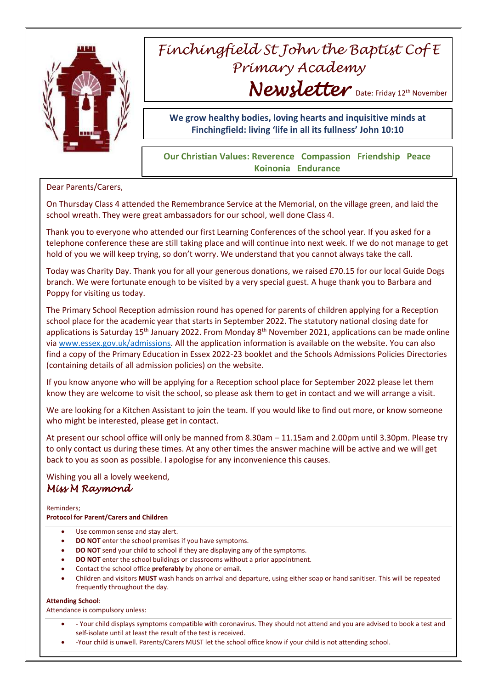

## *Finchingfield St John the Baptist Cof E Primary Academy* Newsletter Date: Friday 12th November

**We grow healthy bodies, loving hearts and inquisitive minds at Finchingfield: living 'life in all its fullness' John 10:10**

## **Our Christian Values: Reverence Compassion Friendship Peace Koinonia Endurance**

Dear Parents/Carers,

On Thursday Class 4 attended the Remembrance Service at the Memorial, on the village green, and laid the school wreath. They were great ambassadors for our school, well done Class 4.

Thank you to everyone who attended our first Learning Conferences of the school year. If you asked for a telephone conference these are still taking place and will continue into next week. If we do not manage to get hold of you we will keep trying, so don't worry. We understand that you cannot always take the call.

Today was Charity Day. Thank you for all your generous donations, we raised £70.15 for our local Guide Dogs branch. We were fortunate enough to be visited by a very special guest. A huge thank you to Barbara and Poppy for visiting us today.

The Primary School Reception admission round has opened for parents of children applying for a Reception school place for the academic year that starts in September 2022. The statutory national closing date for applications is Saturday 15<sup>th</sup> January 2022. From Monday 8<sup>th</sup> November 2021, applications can be made online via [www.essex.gov.uk/admissions.](http://www.essex.gov.uk/admissions) All the application information is available on the website. You can also find a copy of the Primary Education in Essex 2022-23 booklet and the Schools Admissions Policies Directories (containing details of all admission policies) on the website.

If you know anyone who will be applying for a Reception school place for September 2022 please let them know they are welcome to visit the school, so please ask them to get in contact and we will arrange a visit.

We are looking for a Kitchen Assistant to join the team. If you would like to find out more, or know someone who might be interested, please get in contact.

At present our school office will only be manned from 8.30am – 11.15am and 2.00pm until 3.30pm. Please try to only contact us during these times. At any other times the answer machine will be active and we will get back to you as soon as possible. I apologise for any inconvenience this causes.

Wishing you all a lovely weekend, *Miss M Raymond* 

Reminders; **Protocol for Parent/Carers and Children**

- Use common sense and stay alert.
- **DO NOT** enter the school premises if you have symptoms.
- **DO NOT** send your child to school if they are displaying any of the symptoms.
- **DO NOT** enter the school buildings or classrooms without a prior appointment.
- Contact the school office **preferably** by phone or email.
- Children and visitors **MUST** wash hands on arrival and departure, using either soap or hand sanitiser. This will be repeated frequently throughout the day.

## **Attending School**:

Attendance is compulsory unless:

- Your child displays symptoms compatible with coronavirus. They should not attend and you are advised to book a test and self-isolate until at least the result of the test is received.
- -Your child is unwell. Parents/Carers MUST let the school office know if your child is not attending school.